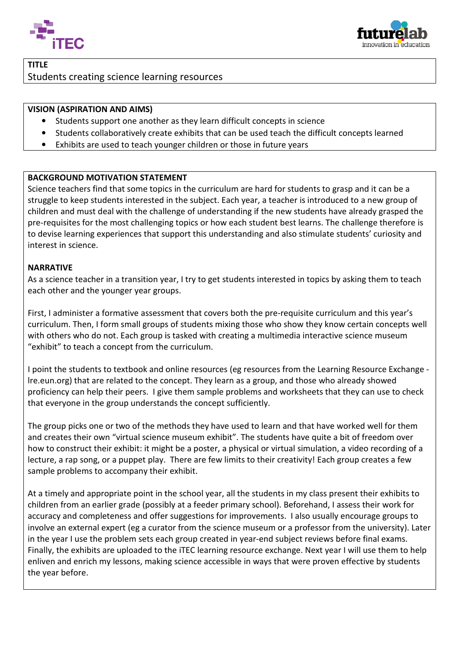



## TITLE Students creating science learning resources

## VISION (ASPIRATION AND AIMS)

- Students support one another as they learn difficult concepts in science
- Students collaboratively create exhibits that can be used teach the difficult concepts learned
- Exhibits are used to teach younger children or those in future years

## BACKGROUND MOTIVATION STATEMENT

Science teachers find that some topics in the curriculum are hard for students to grasp and it can be a struggle to keep students interested in the subject. Each year, a teacher is introduced to a new group of children and must deal with the challenge of understanding if the new students have already grasped the pre-requisites for the most challenging topics or how each student best learns. The challenge therefore is to devise learning experiences that support this understanding and also stimulate interest in science. s have already grasped the<br>The challenge therefore is<br>ate students' curiosity and

## **NARRATIVE**

As a science teacher in a transition year, I try to get students interested in topics by asking them to teach each other and the younger year groups.

First, I administer a formative assessment that covers both the pre-requisite curriculum and this year's curriculum. Then, I form small groups of students mixing those who show they know certain concepts well with others who do not. Each group is tasked with creating a multimedia interactive science museum<br>"exhibit" to teach a concept from the curriculum.<br>I point the students to textbook and online resources (eg resources from "exhibit" to teach a concept from the curriculum.

I point the students to textbook and online resources (eg resources from the Learning Resource Exchange -Ire.eun.org) that are related to the concept. They learn as a group, and those who already showed proficiency can help their peers. I give them sample problems and worksheets that they can use to check that everyone in the group understands the concept sufficiently.

The group picks one or two of the methods they have used to learn and that have worked well for them and creates their own "virtual science museum exhibit". The students have quite a bit of freedom over how to construct their exhibit: it might be a poster, a physical or virtual simulation, a video recording of a lecture, a rap song, or a puppet play. There are few limits to their creativity! Each group creates a few sample problems to accompany their exhibit.

At a timely and appropriate point in the school year, all the students in my class present their exhibits to children from an earlier grade (possibly at a feeder primary school). Beforehand, I assess their work for accuracy and completeness and offer suggestions for improvements. I also usually encourage groups to involve an external expert (eg a curator from the science museum or a professor from the university). Later in the year I use the problem sets each group created in year-end subject reviews before final exams. Finally, the exhibits are uploaded to the iTEC learning resource exchange. Next year I will use them to help<br>enliven and enrich my lessons, making science accessible in ways that were proven effective by students enliven and enrich my lessons, making science accessible in ways that were proven effective by the year before.